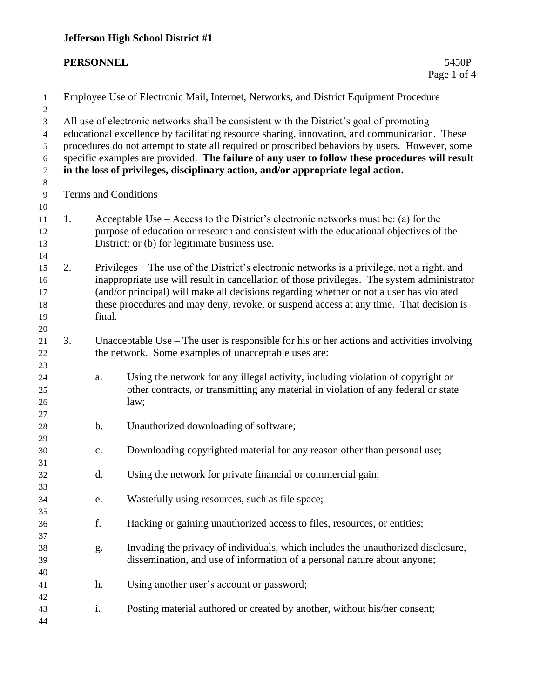# **Jefferson High School District #1**

#### $PERSONNEL$

| $\mathbf{1}$     | Employee Use of Electronic Mail, Internet, Networks, and District Equipment Procedure           |               |                                                                                              |  |  |  |  |  |  |
|------------------|-------------------------------------------------------------------------------------------------|---------------|----------------------------------------------------------------------------------------------|--|--|--|--|--|--|
| $\boldsymbol{2}$ |                                                                                                 |               |                                                                                              |  |  |  |  |  |  |
| 3                | All use of electronic networks shall be consistent with the District's goal of promoting        |               |                                                                                              |  |  |  |  |  |  |
| 4                | educational excellence by facilitating resource sharing, innovation, and communication. These   |               |                                                                                              |  |  |  |  |  |  |
| 5                | procedures do not attempt to state all required or proscribed behaviors by users. However, some |               |                                                                                              |  |  |  |  |  |  |
| 6                | specific examples are provided. The failure of any user to follow these procedures will result  |               |                                                                                              |  |  |  |  |  |  |
| $\boldsymbol{7}$ |                                                                                                 |               | in the loss of privileges, disciplinary action, and/or appropriate legal action.             |  |  |  |  |  |  |
| $\,8\,$          |                                                                                                 |               |                                                                                              |  |  |  |  |  |  |
| 9                | <b>Terms and Conditions</b>                                                                     |               |                                                                                              |  |  |  |  |  |  |
| 10               |                                                                                                 |               |                                                                                              |  |  |  |  |  |  |
| 11               | 1.                                                                                              |               | Acceptable Use – Access to the District's electronic networks must be: (a) for the           |  |  |  |  |  |  |
| 12               |                                                                                                 |               | purpose of education or research and consistent with the educational objectives of the       |  |  |  |  |  |  |
| 13               |                                                                                                 |               | District; or (b) for legitimate business use.                                                |  |  |  |  |  |  |
| 14               |                                                                                                 |               |                                                                                              |  |  |  |  |  |  |
| 15               | 2.                                                                                              |               | Privileges – The use of the District's electronic networks is a privilege, not a right, and  |  |  |  |  |  |  |
| 16               |                                                                                                 |               | inappropriate use will result in cancellation of those privileges. The system administrator  |  |  |  |  |  |  |
| 17               |                                                                                                 |               | (and/or principal) will make all decisions regarding whether or not a user has violated      |  |  |  |  |  |  |
| 18               |                                                                                                 |               | these procedures and may deny, revoke, or suspend access at any time. That decision is       |  |  |  |  |  |  |
| 19               |                                                                                                 | final.        |                                                                                              |  |  |  |  |  |  |
| 20               |                                                                                                 |               |                                                                                              |  |  |  |  |  |  |
| 21               | 3.                                                                                              |               | Unacceptable Use $-$ The user is responsible for his or her actions and activities involving |  |  |  |  |  |  |
| 22               |                                                                                                 |               | the network. Some examples of unacceptable uses are:                                         |  |  |  |  |  |  |
| 23               |                                                                                                 |               |                                                                                              |  |  |  |  |  |  |
| 24               |                                                                                                 | a.            | Using the network for any illegal activity, including violation of copyright or              |  |  |  |  |  |  |
| 25               |                                                                                                 |               | other contracts, or transmitting any material in violation of any federal or state           |  |  |  |  |  |  |
| 26               |                                                                                                 |               | law;                                                                                         |  |  |  |  |  |  |
| 27               |                                                                                                 |               |                                                                                              |  |  |  |  |  |  |
| 28               |                                                                                                 | $\mathbf b$ . | Unauthorized downloading of software;                                                        |  |  |  |  |  |  |
| 29               |                                                                                                 |               |                                                                                              |  |  |  |  |  |  |
| 30               |                                                                                                 | c.            | Downloading copyrighted material for any reason other than personal use;                     |  |  |  |  |  |  |
| 31               |                                                                                                 |               |                                                                                              |  |  |  |  |  |  |
| 32               |                                                                                                 | d.            | Using the network for private financial or commercial gain;                                  |  |  |  |  |  |  |
| 33               |                                                                                                 |               |                                                                                              |  |  |  |  |  |  |
| 34               |                                                                                                 | e.            | Wastefully using resources, such as file space;                                              |  |  |  |  |  |  |
| 35               |                                                                                                 |               |                                                                                              |  |  |  |  |  |  |
| 36               |                                                                                                 | f.            | Hacking or gaining unauthorized access to files, resources, or entities;                     |  |  |  |  |  |  |
| 37               |                                                                                                 |               |                                                                                              |  |  |  |  |  |  |
| 38               |                                                                                                 | g.            | Invading the privacy of individuals, which includes the unauthorized disclosure,             |  |  |  |  |  |  |
| 39               |                                                                                                 |               | dissemination, and use of information of a personal nature about anyone;                     |  |  |  |  |  |  |
| 40               |                                                                                                 |               |                                                                                              |  |  |  |  |  |  |
| 41               |                                                                                                 | h.            | Using another user's account or password;                                                    |  |  |  |  |  |  |
| 42               |                                                                                                 |               |                                                                                              |  |  |  |  |  |  |
| 43               |                                                                                                 | i.            | Posting material authored or created by another, without his/her consent;                    |  |  |  |  |  |  |
| 44               |                                                                                                 |               |                                                                                              |  |  |  |  |  |  |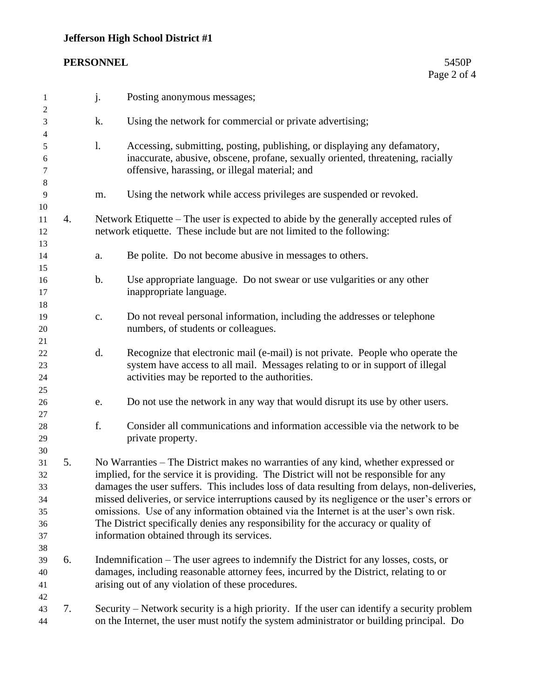# **Jefferson High School District #1**

#### $PERSONNEL$

| 1                                            |    | j.                                                                                                                                                                                                                                                                                                                                                                                                                                                                                                                                                                                                        | Posting anonymous messages;                                                                                                                                                                                       |
|----------------------------------------------|----|-----------------------------------------------------------------------------------------------------------------------------------------------------------------------------------------------------------------------------------------------------------------------------------------------------------------------------------------------------------------------------------------------------------------------------------------------------------------------------------------------------------------------------------------------------------------------------------------------------------|-------------------------------------------------------------------------------------------------------------------------------------------------------------------------------------------------------------------|
| 2<br>$\mathfrak{Z}$                          |    | k.                                                                                                                                                                                                                                                                                                                                                                                                                                                                                                                                                                                                        | Using the network for commercial or private advertising;                                                                                                                                                          |
| 4<br>5<br>6<br>7                             |    | $\mathbf{l}$ .                                                                                                                                                                                                                                                                                                                                                                                                                                                                                                                                                                                            | Accessing, submitting, posting, publishing, or displaying any defamatory,<br>inaccurate, abusive, obscene, profane, sexually oriented, threatening, racially<br>offensive, harassing, or illegal material; and    |
| 8<br>9                                       |    | m.                                                                                                                                                                                                                                                                                                                                                                                                                                                                                                                                                                                                        | Using the network while access privileges are suspended or revoked.                                                                                                                                               |
| 10<br>11<br>12<br>13                         | 4. |                                                                                                                                                                                                                                                                                                                                                                                                                                                                                                                                                                                                           | Network Etiquette – The user is expected to abide by the generally accepted rules of<br>network etiquette. These include but are not limited to the following:                                                    |
| 14                                           |    | a.                                                                                                                                                                                                                                                                                                                                                                                                                                                                                                                                                                                                        | Be polite. Do not become abusive in messages to others.                                                                                                                                                           |
| 15<br>16<br>17<br>18                         |    | $\mathbf b$ .                                                                                                                                                                                                                                                                                                                                                                                                                                                                                                                                                                                             | Use appropriate language. Do not swear or use vulgarities or any other<br>inappropriate language.                                                                                                                 |
| 19<br>20<br>21                               |    | c.                                                                                                                                                                                                                                                                                                                                                                                                                                                                                                                                                                                                        | Do not reveal personal information, including the addresses or telephone<br>numbers, of students or colleagues.                                                                                                   |
| 22<br>23<br>24<br>25                         |    | d.                                                                                                                                                                                                                                                                                                                                                                                                                                                                                                                                                                                                        | Recognize that electronic mail (e-mail) is not private. People who operate the<br>system have access to all mail. Messages relating to or in support of illegal<br>activities may be reported to the authorities. |
| 26<br>27                                     |    | e.                                                                                                                                                                                                                                                                                                                                                                                                                                                                                                                                                                                                        | Do not use the network in any way that would disrupt its use by other users.                                                                                                                                      |
| $28\,$<br>29<br>30                           |    | f.                                                                                                                                                                                                                                                                                                                                                                                                                                                                                                                                                                                                        | Consider all communications and information accessible via the network to be<br>private property.                                                                                                                 |
| 31<br>32<br>33<br>34<br>35<br>36<br>37<br>38 | 5. | No Warranties – The District makes no warranties of any kind, whether expressed or<br>implied, for the service it is providing. The District will not be responsible for any<br>damages the user suffers. This includes loss of data resulting from delays, non-deliveries,<br>missed deliveries, or service interruptions caused by its negligence or the user's errors or<br>omissions. Use of any information obtained via the Internet is at the user's own risk.<br>The District specifically denies any responsibility for the accuracy or quality of<br>information obtained through its services. |                                                                                                                                                                                                                   |
| 39<br>40<br>41                               | 6. | Indemnification – The user agrees to indemnify the District for any losses, costs, or<br>damages, including reasonable attorney fees, incurred by the District, relating to or<br>arising out of any violation of these procedures.                                                                                                                                                                                                                                                                                                                                                                       |                                                                                                                                                                                                                   |
| 42<br>43<br>44                               | 7. |                                                                                                                                                                                                                                                                                                                                                                                                                                                                                                                                                                                                           | Security – Network security is a high priority. If the user can identify a security problem<br>on the Internet, the user must notify the system administrator or building principal. Do                           |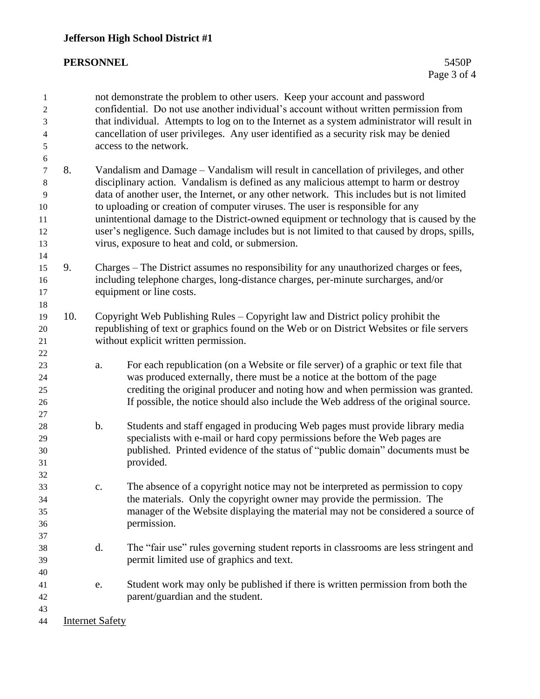### $PERSONNEL$

| 1<br>2<br>3<br>$\overline{4}$<br>$\sqrt{5}$ |     |                                                                                                                                                                                                                                                                         | not demonstrate the problem to other users. Keep your account and password<br>confidential. Do not use another individual's account without written permission from<br>that individual. Attempts to log on to the Internet as a system administrator will result in<br>cancellation of user privileges. Any user identified as a security risk may be denied<br>access to the network. |  |  |  |
|---------------------------------------------|-----|-------------------------------------------------------------------------------------------------------------------------------------------------------------------------------------------------------------------------------------------------------------------------|----------------------------------------------------------------------------------------------------------------------------------------------------------------------------------------------------------------------------------------------------------------------------------------------------------------------------------------------------------------------------------------|--|--|--|
| $\sqrt{6}$<br>7<br>$\,8$                    | 8.  | Vandalism and Damage – Vandalism will result in cancellation of privileges, and other<br>disciplinary action. Vandalism is defined as any malicious attempt to harm or destroy                                                                                          |                                                                                                                                                                                                                                                                                                                                                                                        |  |  |  |
| 9                                           |     | data of another user, the Internet, or any other network. This includes but is not limited<br>to uploading or creation of computer viruses. The user is responsible for any<br>unintentional damage to the District-owned equipment or technology that is caused by the |                                                                                                                                                                                                                                                                                                                                                                                        |  |  |  |
| 10                                          |     |                                                                                                                                                                                                                                                                         |                                                                                                                                                                                                                                                                                                                                                                                        |  |  |  |
| 11                                          |     |                                                                                                                                                                                                                                                                         |                                                                                                                                                                                                                                                                                                                                                                                        |  |  |  |
| 12                                          |     |                                                                                                                                                                                                                                                                         | user's negligence. Such damage includes but is not limited to that caused by drops, spills,                                                                                                                                                                                                                                                                                            |  |  |  |
| 13                                          |     |                                                                                                                                                                                                                                                                         | virus, exposure to heat and cold, or submersion.                                                                                                                                                                                                                                                                                                                                       |  |  |  |
| 14<br>15                                    | 9.  |                                                                                                                                                                                                                                                                         |                                                                                                                                                                                                                                                                                                                                                                                        |  |  |  |
| 16                                          |     | Charges – The District assumes no responsibility for any unauthorized charges or fees,<br>including telephone charges, long-distance charges, per-minute surcharges, and/or                                                                                             |                                                                                                                                                                                                                                                                                                                                                                                        |  |  |  |
| 17                                          |     |                                                                                                                                                                                                                                                                         | equipment or line costs.                                                                                                                                                                                                                                                                                                                                                               |  |  |  |
| 18                                          |     |                                                                                                                                                                                                                                                                         |                                                                                                                                                                                                                                                                                                                                                                                        |  |  |  |
| 19                                          | 10. | Copyright Web Publishing Rules – Copyright law and District policy prohibit the                                                                                                                                                                                         |                                                                                                                                                                                                                                                                                                                                                                                        |  |  |  |
| 20                                          |     | republishing of text or graphics found on the Web or on District Websites or file servers                                                                                                                                                                               |                                                                                                                                                                                                                                                                                                                                                                                        |  |  |  |
| 21                                          |     |                                                                                                                                                                                                                                                                         | without explicit written permission.                                                                                                                                                                                                                                                                                                                                                   |  |  |  |
| 22                                          |     |                                                                                                                                                                                                                                                                         |                                                                                                                                                                                                                                                                                                                                                                                        |  |  |  |
| 23                                          |     | a.                                                                                                                                                                                                                                                                      | For each republication (on a Website or file server) of a graphic or text file that                                                                                                                                                                                                                                                                                                    |  |  |  |
| 24                                          |     |                                                                                                                                                                                                                                                                         | was produced externally, there must be a notice at the bottom of the page                                                                                                                                                                                                                                                                                                              |  |  |  |
| 25                                          |     |                                                                                                                                                                                                                                                                         | crediting the original producer and noting how and when permission was granted.                                                                                                                                                                                                                                                                                                        |  |  |  |
| 26                                          |     |                                                                                                                                                                                                                                                                         | If possible, the notice should also include the Web address of the original source.                                                                                                                                                                                                                                                                                                    |  |  |  |
| 27                                          |     |                                                                                                                                                                                                                                                                         |                                                                                                                                                                                                                                                                                                                                                                                        |  |  |  |
| 28                                          |     | b.                                                                                                                                                                                                                                                                      | Students and staff engaged in producing Web pages must provide library media                                                                                                                                                                                                                                                                                                           |  |  |  |
| 29                                          |     |                                                                                                                                                                                                                                                                         | specialists with e-mail or hard copy permissions before the Web pages are                                                                                                                                                                                                                                                                                                              |  |  |  |
| 30                                          |     |                                                                                                                                                                                                                                                                         | published. Printed evidence of the status of "public domain" documents must be                                                                                                                                                                                                                                                                                                         |  |  |  |
| 31                                          |     |                                                                                                                                                                                                                                                                         | provided.                                                                                                                                                                                                                                                                                                                                                                              |  |  |  |
| 32                                          |     |                                                                                                                                                                                                                                                                         |                                                                                                                                                                                                                                                                                                                                                                                        |  |  |  |
| 33                                          |     | c.                                                                                                                                                                                                                                                                      | The absence of a copyright notice may not be interpreted as permission to copy                                                                                                                                                                                                                                                                                                         |  |  |  |
| 34                                          |     |                                                                                                                                                                                                                                                                         | the materials. Only the copyright owner may provide the permission. The                                                                                                                                                                                                                                                                                                                |  |  |  |
| 35                                          |     |                                                                                                                                                                                                                                                                         | manager of the Website displaying the material may not be considered a source of                                                                                                                                                                                                                                                                                                       |  |  |  |
| 36<br>37                                    |     |                                                                                                                                                                                                                                                                         | permission.                                                                                                                                                                                                                                                                                                                                                                            |  |  |  |
| 38                                          |     | d.                                                                                                                                                                                                                                                                      | The "fair use" rules governing student reports in classrooms are less stringent and                                                                                                                                                                                                                                                                                                    |  |  |  |
| 39                                          |     |                                                                                                                                                                                                                                                                         | permit limited use of graphics and text.                                                                                                                                                                                                                                                                                                                                               |  |  |  |
| 40                                          |     |                                                                                                                                                                                                                                                                         |                                                                                                                                                                                                                                                                                                                                                                                        |  |  |  |
| 41                                          |     | e.                                                                                                                                                                                                                                                                      | Student work may only be published if there is written permission from both the                                                                                                                                                                                                                                                                                                        |  |  |  |
| 42                                          |     |                                                                                                                                                                                                                                                                         | parent/guardian and the student.                                                                                                                                                                                                                                                                                                                                                       |  |  |  |
| 43                                          |     |                                                                                                                                                                                                                                                                         |                                                                                                                                                                                                                                                                                                                                                                                        |  |  |  |
| 44                                          |     | <b>Internet Safety</b>                                                                                                                                                                                                                                                  |                                                                                                                                                                                                                                                                                                                                                                                        |  |  |  |